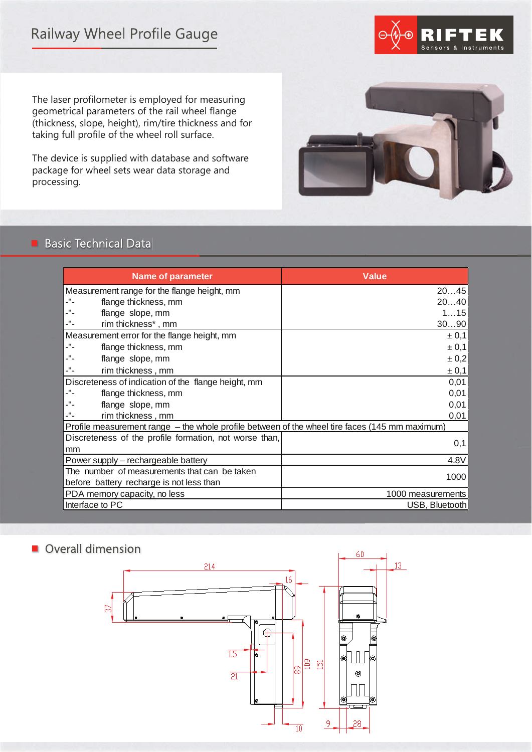# **Railway Wheel Profile Gauge**



The laser profilometer is employed for measuring geometrical parameters of the rail wheel flange (thickness, slope, height), rim/tire thickness and for taking full profile of the wheel roll surface.

The device is supplied with database and software package for wheel sets wear data storage and processing.



# **Basic Technical Data**

| <b>Name of parameter</b>                                                                       | <b>Value</b>      |
|------------------------------------------------------------------------------------------------|-------------------|
| Measurement range for the flange height, mm                                                    | 2045              |
| -"-<br>flange thickness, mm                                                                    | 2040              |
| -"-<br>flange slope, mm                                                                        | 115               |
| rim thickness*, mm                                                                             | 3090              |
| Measurement error for the flange height, mm<br>± 0,1                                           |                   |
| -"-<br>flange thickness, mm                                                                    | ± 0,1             |
| flange slope, mm                                                                               | ± 0,2             |
| -"-<br>rim thickness, mm                                                                       | ± 0,1             |
| Discreteness of indication of the flange height, mm                                            |                   |
| -"-<br>flange thickness, mm                                                                    | 0,01              |
| flange slope, mm                                                                               | 0,01              |
| rim thickness, mm                                                                              | 0,01              |
| Profile measurement range - the whole profile between of the wheel tire faces (145 mm maximum) |                   |
| Discreteness of the profile formation, not worse than,                                         |                   |
| mm                                                                                             | 0,1               |
| 4.8V<br>Power supply - rechargeable battery                                                    |                   |
| The number of measurements that can be taken<br>1000                                           |                   |
| before battery recharge is not less than                                                       |                   |
| PDA memory capacity, no less                                                                   | 1000 measurements |
| Interface to PC<br>USB, Bluetooth                                                              |                   |

# Overall dimension